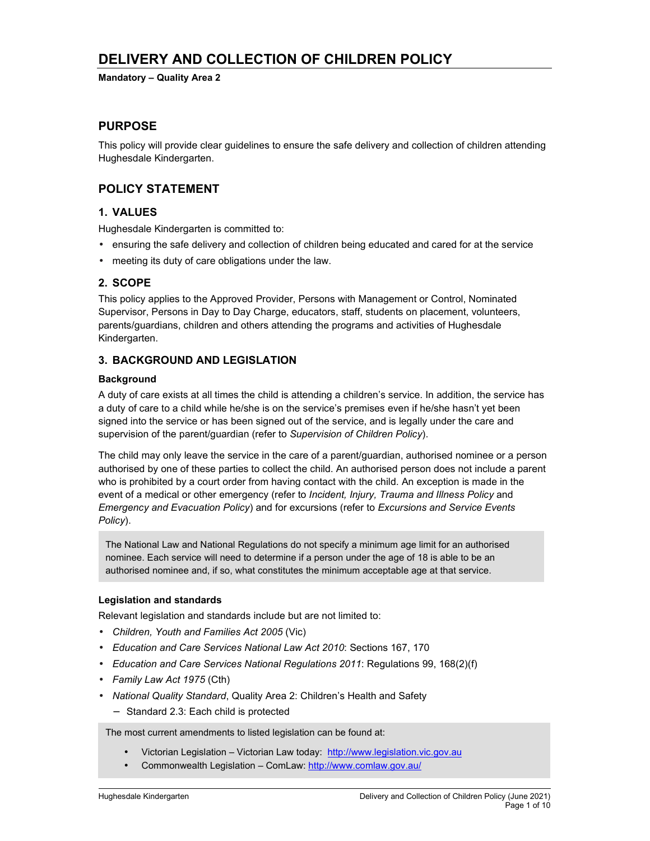# **DELIVERY AND COLLECTION OF CHILDREN POLICY**

**Mandatory – Quality Area 2** 

## **PURPOSE**

This policy will provide clear guidelines to ensure the safe delivery and collection of children attending Hughesdale Kindergarten.

## **POLICY STATEMENT**

### **1. VALUES**

Hughesdale Kindergarten is committed to:

- ensuring the safe delivery and collection of children being educated and cared for at the service
- meeting its duty of care obligations under the law.

### **2. SCOPE**

This policy applies to the Approved Provider, Persons with Management or Control, Nominated Supervisor, Persons in Day to Day Charge, educators, staff, students on placement, volunteers, parents/guardians, children and others attending the programs and activities of Hughesdale Kindergarten.

#### **3. BACKGROUND AND LEGISLATION**

#### **Background**

A duty of care exists at all times the child is attending a children's service. In addition, the service has a duty of care to a child while he/she is on the service's premises even if he/she hasn't yet been signed into the service or has been signed out of the service, and is legally under the care and supervision of the parent/guardian (refer to *Supervision of Children Policy*).

The child may only leave the service in the care of a parent/guardian, authorised nominee or a person authorised by one of these parties to collect the child. An authorised person does not include a parent who is prohibited by a court order from having contact with the child. An exception is made in the event of a medical or other emergency (refer to *Incident, Injury, Trauma and Illness Policy* and *Emergency and Evacuation Policy*) and for excursions (refer to *Excursions and Service Events Policy*).

The National Law and National Regulations do not specify a minimum age limit for an authorised nominee. Each service will need to determine if a person under the age of 18 is able to be an authorised nominee and, if so, what constitutes the minimum acceptable age at that service.

#### **Legislation and standards**

Relevant legislation and standards include but are not limited to:

- *Children, Youth and Families Act 2005* (Vic)
- *Education and Care Services National Law Act 2010*: Sections 167, 170
- *Education and Care Services National Regulations 2011*: Regulations 99, 168(2)(f)
- *Family Law Act 1975* (Cth)
- *National Quality Standard*, Quality Area 2: Children's Health and Safety
	- − Standard 2.3: Each child is protected

The most current amendments to listed legislation can be found at:

- Victorian Legislation Victorian Law today: http://www.legislation.vic.gov.au
- Commonwealth Legislation ComLaw: http://www.comlaw.gov.au/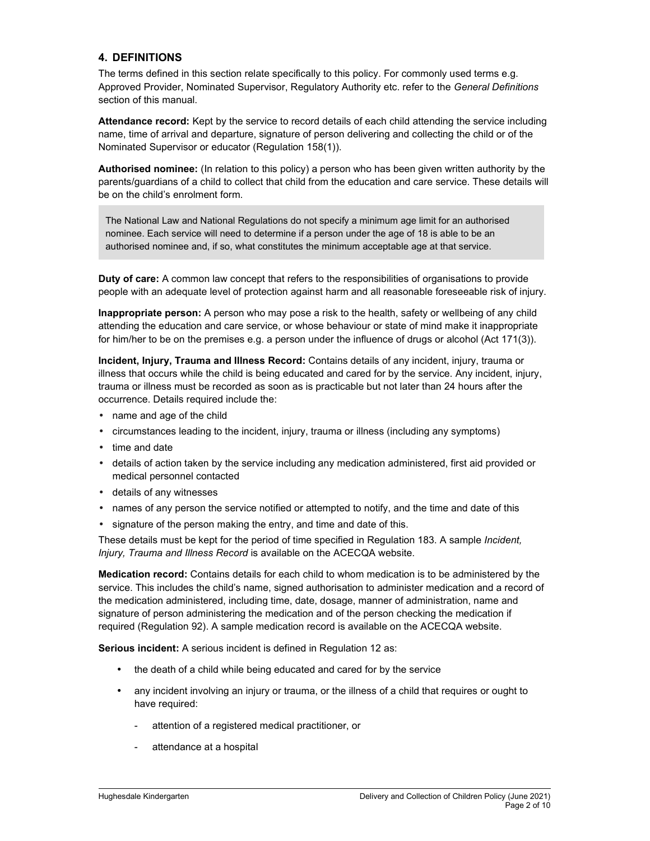### **4. DEFINITIONS**

The terms defined in this section relate specifically to this policy. For commonly used terms e.g. Approved Provider, Nominated Supervisor, Regulatory Authority etc. refer to the *General Definitions* section of this manual.

**Attendance record:** Kept by the service to record details of each child attending the service including name, time of arrival and departure, signature of person delivering and collecting the child or of the Nominated Supervisor or educator (Regulation 158(1)).

**Authorised nominee:** (In relation to this policy) a person who has been given written authority by the parents/guardians of a child to collect that child from the education and care service. These details will be on the child's enrolment form.

The National Law and National Regulations do not specify a minimum age limit for an authorised nominee. Each service will need to determine if a person under the age of 18 is able to be an authorised nominee and, if so, what constitutes the minimum acceptable age at that service.

**Duty of care:** A common law concept that refers to the responsibilities of organisations to provide people with an adequate level of protection against harm and all reasonable foreseeable risk of injury.

**Inappropriate person:** A person who may pose a risk to the health, safety or wellbeing of any child attending the education and care service, or whose behaviour or state of mind make it inappropriate for him/her to be on the premises e.g. a person under the influence of drugs or alcohol (Act 171(3)).

**Incident, Injury, Trauma and Illness Record:** Contains details of any incident, injury, trauma or illness that occurs while the child is being educated and cared for by the service. Any incident, injury, trauma or illness must be recorded as soon as is practicable but not later than 24 hours after the occurrence. Details required include the:

- name and age of the child
- circumstances leading to the incident, injury, trauma or illness (including any symptoms)
- time and date
- details of action taken by the service including any medication administered, first aid provided or medical personnel contacted
- details of any witnesses
- names of any person the service notified or attempted to notify, and the time and date of this
- signature of the person making the entry, and time and date of this.

These details must be kept for the period of time specified in Regulation 183. A sample *Incident, Injury, Trauma and Illness Record* is available on the ACECQA website.

**Medication record:** Contains details for each child to whom medication is to be administered by the service. This includes the child's name, signed authorisation to administer medication and a record of the medication administered, including time, date, dosage, manner of administration, name and signature of person administering the medication and of the person checking the medication if required (Regulation 92). A sample medication record is available on the ACECQA website.

**Serious incident:** A serious incident is defined in Regulation 12 as:

- the death of a child while being educated and cared for by the service
- any incident involving an injury or trauma, or the illness of a child that requires or ought to have required:
	- attention of a registered medical practitioner, or
	- attendance at a hospital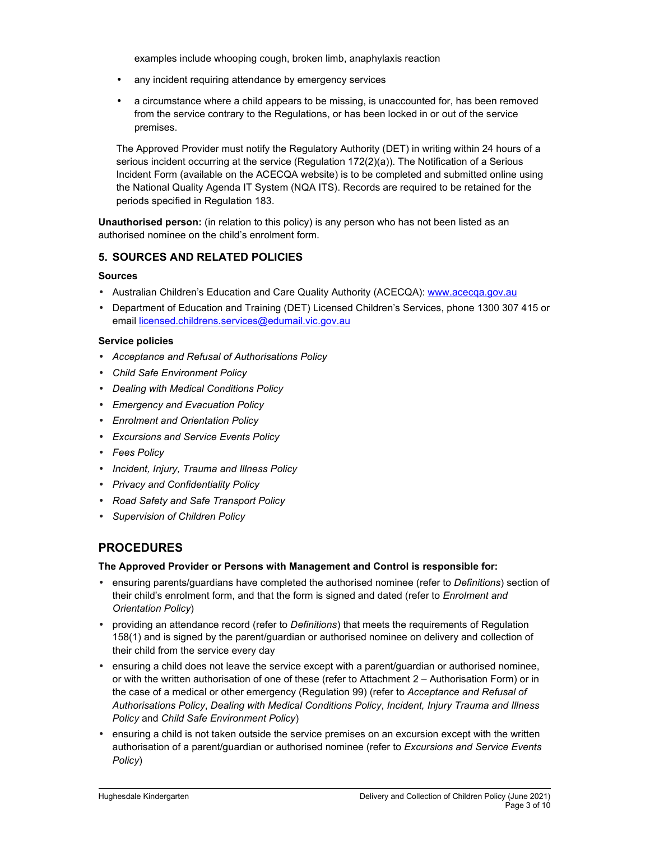examples include whooping cough, broken limb, anaphylaxis reaction

- any incident requiring attendance by emergency services
- a circumstance where a child appears to be missing, is unaccounted for, has been removed from the service contrary to the Regulations, or has been locked in or out of the service premises.

The Approved Provider must notify the Regulatory Authority (DET) in writing within 24 hours of a serious incident occurring at the service (Regulation 172(2)(a)). The Notification of a Serious Incident Form (available on the ACECQA website) is to be completed and submitted online using the National Quality Agenda IT System (NQA ITS). Records are required to be retained for the periods specified in Regulation 183.

**Unauthorised person:** (in relation to this policy) is any person who has not been listed as an authorised nominee on the child's enrolment form.

### **5. SOURCES AND RELATED POLICIES**

#### **Sources**

- Australian Children's Education and Care Quality Authority (ACECQA): www.acecqa.gov.au
- Department of Education and Training (DET) Licensed Children's Services, phone 1300 307 415 or email licensed.childrens.services@edumail.vic.gov.au

#### **Service policies**

- *Acceptance and Refusal of Authorisations Policy*
- *Child Safe Environment Policy*
- *Dealing with Medical Conditions Policy*
- *Emergency and Evacuation Policy*
- *Enrolment and Orientation Policy*
- *Excursions and Service Events Policy*
- *Fees Policy*
- *Incident, Injury, Trauma and Illness Policy*
- *Privacy and Confidentiality Policy*
- *Road Safety and Safe Transport Policy*
- *Supervision of Children Policy*

## **PROCEDURES**

#### **The Approved Provider or Persons with Management and Control is responsible for:**

- ensuring parents/guardians have completed the authorised nominee (refer to *Definitions*) section of their child's enrolment form, and that the form is signed and dated (refer to *Enrolment and Orientation Policy*)
- providing an attendance record (refer to *Definitions*) that meets the requirements of Regulation 158(1) and is signed by the parent/guardian or authorised nominee on delivery and collection of their child from the service every day
- ensuring a child does not leave the service except with a parent/guardian or authorised nominee, or with the written authorisation of one of these (refer to Attachment 2 – Authorisation Form) or in the case of a medical or other emergency (Regulation 99) (refer to *Acceptance and Refusal of Authorisations Policy*, *Dealing with Medical Conditions Policy*, *Incident, Injury Trauma and Illness Policy* and *Child Safe Environment Policy*)
- ensuring a child is not taken outside the service premises on an excursion except with the written authorisation of a parent/guardian or authorised nominee (refer to *Excursions and Service Events Policy*)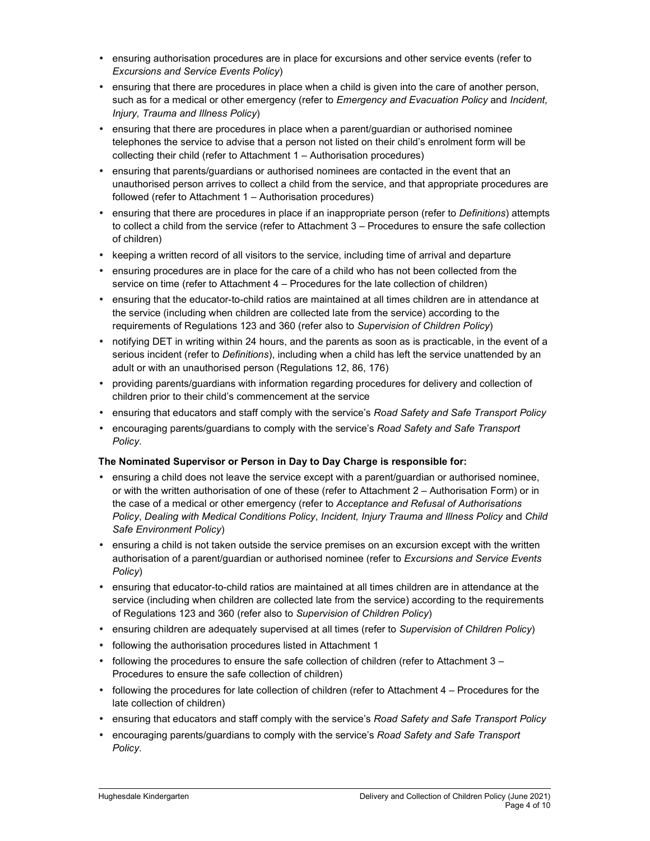- ensuring authorisation procedures are in place for excursions and other service events (refer to *Excursions and Service Events Policy*)
- ensuring that there are procedures in place when a child is given into the care of another person, such as for a medical or other emergency (refer to *Emergency and Evacuation Policy* and *Incident, Injury, Trauma and Illness Policy*)
- ensuring that there are procedures in place when a parent/guardian or authorised nominee telephones the service to advise that a person not listed on their child's enrolment form will be collecting their child (refer to Attachment 1 – Authorisation procedures)
- ensuring that parents/guardians or authorised nominees are contacted in the event that an unauthorised person arrives to collect a child from the service, and that appropriate procedures are followed (refer to Attachment 1 – Authorisation procedures)
- ensuring that there are procedures in place if an inappropriate person (refer to *Definitions*) attempts to collect a child from the service (refer to Attachment 3 – Procedures to ensure the safe collection of children)
- keeping a written record of all visitors to the service, including time of arrival and departure
- ensuring procedures are in place for the care of a child who has not been collected from the service on time (refer to Attachment 4 – Procedures for the late collection of children)
- ensuring that the educator-to-child ratios are maintained at all times children are in attendance at the service (including when children are collected late from the service) according to the requirements of Regulations 123 and 360 (refer also to *Supervision of Children Policy*)
- notifying DET in writing within 24 hours, and the parents as soon as is practicable, in the event of a serious incident (refer to *Definitions*), including when a child has left the service unattended by an adult or with an unauthorised person (Regulations 12, 86, 176)
- providing parents/guardians with information regarding procedures for delivery and collection of children prior to their child's commencement at the service
- ensuring that educators and staff comply with the service's *Road Safety and Safe Transport Policy*
- encouraging parents/guardians to comply with the service's *Road Safety and Safe Transport Policy*.

### **The Nominated Supervisor or Person in Day to Day Charge is responsible for:**

- ensuring a child does not leave the service except with a parent/guardian or authorised nominee, or with the written authorisation of one of these (refer to Attachment 2 – Authorisation Form) or in the case of a medical or other emergency (refer to *Acceptance and Refusal of Authorisations Policy*, *Dealing with Medical Conditions Policy*, *Incident, Injury Trauma and Illness Policy* and *Child Safe Environment Policy*)
- ensuring a child is not taken outside the service premises on an excursion except with the written authorisation of a parent/guardian or authorised nominee (refer to *Excursions and Service Events Policy*)
- ensuring that educator-to-child ratios are maintained at all times children are in attendance at the service (including when children are collected late from the service) according to the requirements of Regulations 123 and 360 (refer also to *Supervision of Children Policy*)
- ensuring children are adequately supervised at all times (refer to *Supervision of Children Policy*)
- following the authorisation procedures listed in Attachment 1
- following the procedures to ensure the safe collection of children (refer to Attachment  $3 -$ Procedures to ensure the safe collection of children)
- following the procedures for late collection of children (refer to Attachment 4 Procedures for the late collection of children)
- ensuring that educators and staff comply with the service's *Road Safety and Safe Transport Policy*
- encouraging parents/guardians to comply with the service's *Road Safety and Safe Transport Policy*.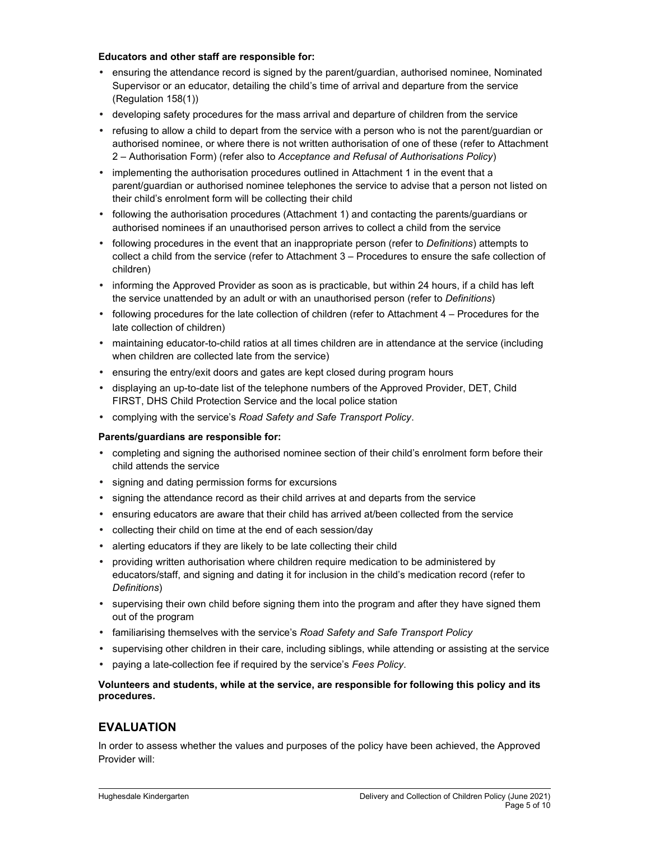#### **Educators and other staff are responsible for:**

- ensuring the attendance record is signed by the parent/guardian, authorised nominee, Nominated Supervisor or an educator, detailing the child's time of arrival and departure from the service (Regulation 158(1))
- developing safety procedures for the mass arrival and departure of children from the service
- refusing to allow a child to depart from the service with a person who is not the parent/guardian or authorised nominee, or where there is not written authorisation of one of these (refer to Attachment 2 – Authorisation Form) (refer also to *Acceptance and Refusal of Authorisations Policy*)
- implementing the authorisation procedures outlined in Attachment 1 in the event that a parent/guardian or authorised nominee telephones the service to advise that a person not listed on their child's enrolment form will be collecting their child
- following the authorisation procedures (Attachment 1) and contacting the parents/guardians or authorised nominees if an unauthorised person arrives to collect a child from the service
- following procedures in the event that an inappropriate person (refer to *Definitions*) attempts to collect a child from the service (refer to Attachment 3 – Procedures to ensure the safe collection of children)
- informing the Approved Provider as soon as is practicable, but within 24 hours, if a child has left the service unattended by an adult or with an unauthorised person (refer to *Definitions*)
- following procedures for the late collection of children (refer to Attachment 4 Procedures for the late collection of children)
- maintaining educator-to-child ratios at all times children are in attendance at the service (including when children are collected late from the service)
- ensuring the entry/exit doors and gates are kept closed during program hours
- displaying an up-to-date list of the telephone numbers of the Approved Provider, DET, Child FIRST, DHS Child Protection Service and the local police station
- complying with the service's *Road Safety and Safe Transport Policy*.

#### **Parents/guardians are responsible for:**

- completing and signing the authorised nominee section of their child's enrolment form before their child attends the service
- signing and dating permission forms for excursions
- signing the attendance record as their child arrives at and departs from the service
- ensuring educators are aware that their child has arrived at/been collected from the service
- collecting their child on time at the end of each session/day
- alerting educators if they are likely to be late collecting their child
- providing written authorisation where children require medication to be administered by educators/staff, and signing and dating it for inclusion in the child's medication record (refer to *Definitions*)
- supervising their own child before signing them into the program and after they have signed them out of the program
- familiarising themselves with the service's *Road Safety and Safe Transport Policy*
- supervising other children in their care, including siblings, while attending or assisting at the service
- paying a late-collection fee if required by the service's *Fees Policy*.

**Volunteers and students, while at the service, are responsible for following this policy and its procedures.** 

## **EVALUATION**

In order to assess whether the values and purposes of the policy have been achieved, the Approved Provider will: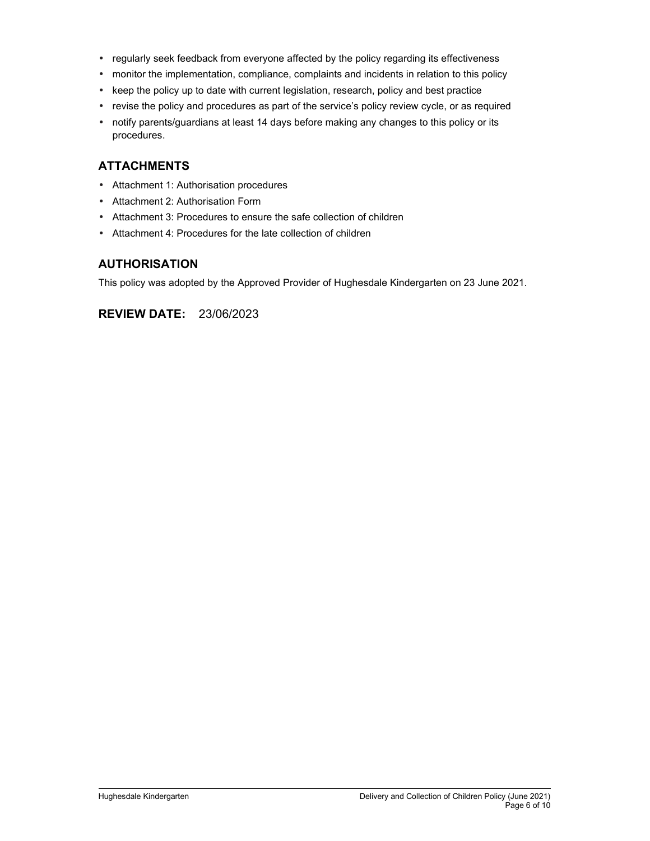- regularly seek feedback from everyone affected by the policy regarding its effectiveness
- monitor the implementation, compliance, complaints and incidents in relation to this policy
- keep the policy up to date with current legislation, research, policy and best practice
- revise the policy and procedures as part of the service's policy review cycle, or as required
- notify parents/guardians at least 14 days before making any changes to this policy or its procedures.

## **ATTACHMENTS**

- Attachment 1: Authorisation procedures
- Attachment 2: Authorisation Form
- Attachment 3: Procedures to ensure the safe collection of children
- Attachment 4: Procedures for the late collection of children

## **AUTHORISATION**

This policy was adopted by the Approved Provider of Hughesdale Kindergarten on 23 June 2021.

**REVIEW DATE:** 23/06/2023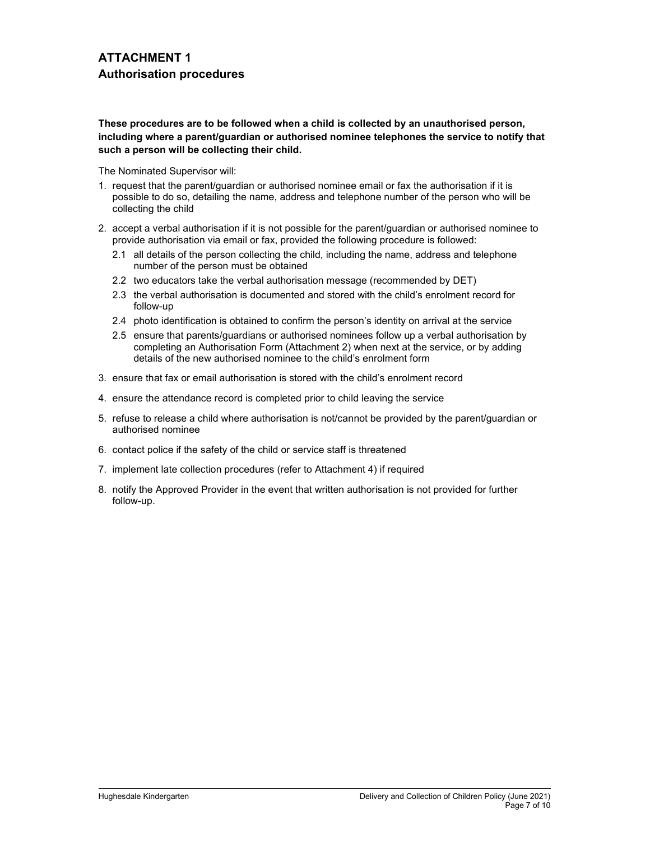## **ATTACHMENT 1 Authorisation procedures**

#### **These procedures are to be followed when a child is collected by an unauthorised person, including where a parent/guardian or authorised nominee telephones the service to notify that such a person will be collecting their child.**

The Nominated Supervisor will:

- 1. request that the parent/guardian or authorised nominee email or fax the authorisation if it is possible to do so, detailing the name, address and telephone number of the person who will be collecting the child
- 2. accept a verbal authorisation if it is not possible for the parent/guardian or authorised nominee to provide authorisation via email or fax, provided the following procedure is followed:
	- 2.1 all details of the person collecting the child, including the name, address and telephone number of the person must be obtained
	- 2.2 two educators take the verbal authorisation message (recommended by DET)
	- 2.3 the verbal authorisation is documented and stored with the child's enrolment record for follow-up
	- 2.4 photo identification is obtained to confirm the person's identity on arrival at the service
	- 2.5 ensure that parents/guardians or authorised nominees follow up a verbal authorisation by completing an Authorisation Form (Attachment 2) when next at the service, or by adding details of the new authorised nominee to the child's enrolment form
- 3. ensure that fax or email authorisation is stored with the child's enrolment record
- 4. ensure the attendance record is completed prior to child leaving the service
- 5. refuse to release a child where authorisation is not/cannot be provided by the parent/guardian or authorised nominee
- 6. contact police if the safety of the child or service staff is threatened
- 7. implement late collection procedures (refer to Attachment 4) if required
- 8. notify the Approved Provider in the event that written authorisation is not provided for further follow-up.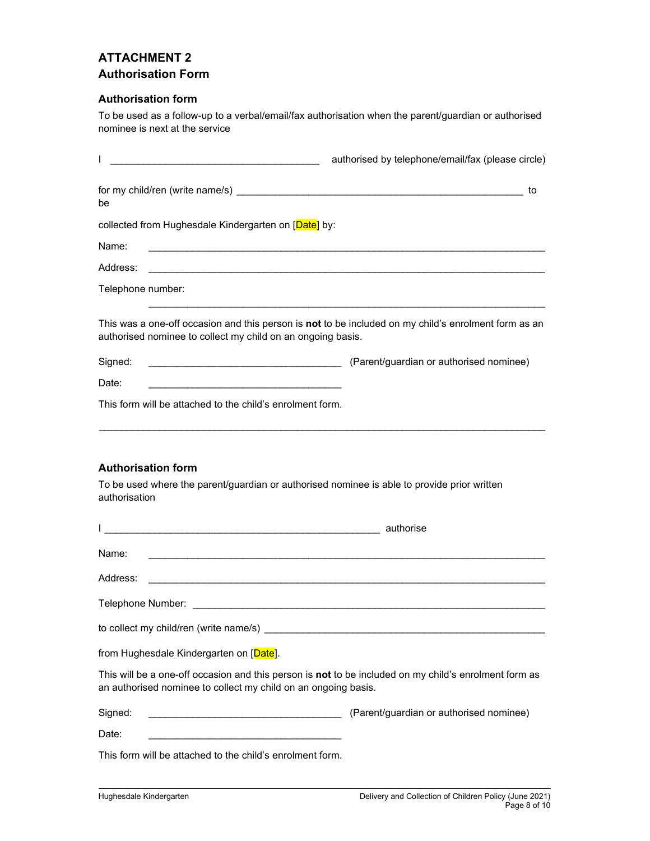## **ATTACHMENT 2 Authorisation Form**

### **Authorisation form**

To be used as a follow-up to a verbal/email/fax authorisation when the parent/guardian or authorised nominee is next at the service

| T<br><u> 1989 - Johann John Stone, mars eta biztanleria (</u>                                                                                                           | authorised by telephone/email/fax (please circle) |
|-------------------------------------------------------------------------------------------------------------------------------------------------------------------------|---------------------------------------------------|
| be                                                                                                                                                                      | to                                                |
| collected from Hughesdale Kindergarten on [Date] by:                                                                                                                    |                                                   |
| Name:                                                                                                                                                                   |                                                   |
| Address:                                                                                                                                                                |                                                   |
| Telephone number:                                                                                                                                                       |                                                   |
| This was a one-off occasion and this person is not to be included on my child's enrolment form as an<br>authorised nominee to collect my child on an ongoing basis.     |                                                   |
| Signed:                                                                                                                                                                 |                                                   |
| Date:<br>the control of the control of the control of the control of the control of the control of                                                                      |                                                   |
| This form will be attached to the child's enrolment form.                                                                                                               |                                                   |
| authorisation                                                                                                                                                           |                                                   |
|                                                                                                                                                                         |                                                   |
| Name:<br><u> 1989 - Johann Stein, marwolaethau a bhann an t-Amhair ann an t-Amhair an t-Amhair an t-Amhair an t-Amhair an</u>                                           |                                                   |
| Address:<br><u> 1989 - Johann Stein, marwolaethau a bhann an t-Amhain an t-Amhain an t-Amhain an t-Amhain an t-Amhain an t-A</u>                                        |                                                   |
|                                                                                                                                                                         |                                                   |
| to collect my child/ren (write name/s)                                                                                                                                  |                                                   |
| from Hughesdale Kindergarten on [Date].                                                                                                                                 |                                                   |
| This will be a one-off occasion and this person is not to be included on my child's enrolment form as<br>an authorised nominee to collect my child on an ongoing basis. |                                                   |
| Signed:                                                                                                                                                                 | (Parent/guardian or authorised nominee)           |
| Date:<br><u> 1989 - Johann Barn, mars ann an t-Amhair ann an t-Amhair an t-Amhair ann an t-Amhair an t-Amhair ann an t-A</u>                                            |                                                   |
| This form will be attached to the child's enrolment form.                                                                                                               |                                                   |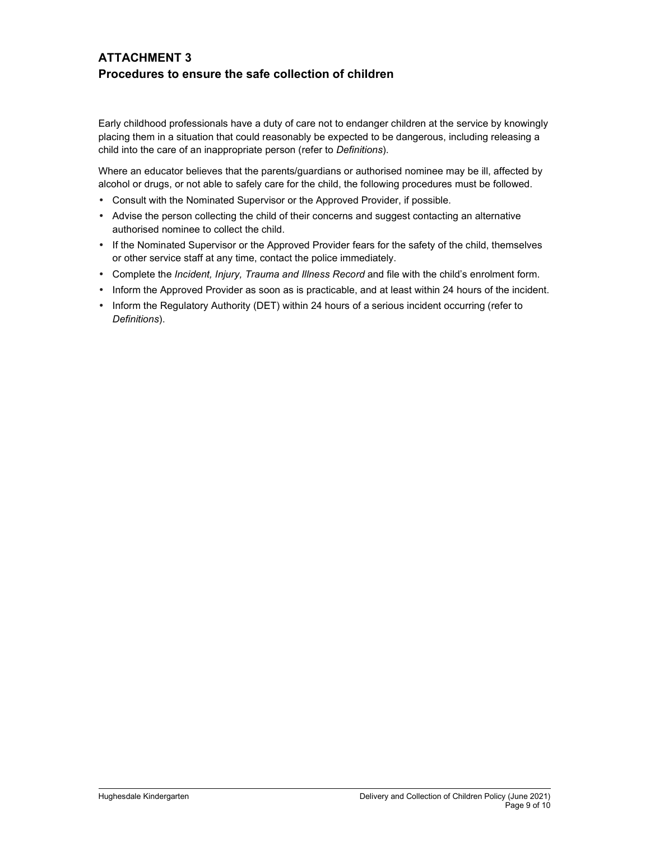## **ATTACHMENT 3 Procedures to ensure the safe collection of children**

Early childhood professionals have a duty of care not to endanger children at the service by knowingly placing them in a situation that could reasonably be expected to be dangerous, including releasing a child into the care of an inappropriate person (refer to *Definitions*).

Where an educator believes that the parents/guardians or authorised nominee may be ill, affected by alcohol or drugs, or not able to safely care for the child, the following procedures must be followed.

- Consult with the Nominated Supervisor or the Approved Provider, if possible.
- Advise the person collecting the child of their concerns and suggest contacting an alternative authorised nominee to collect the child.
- If the Nominated Supervisor or the Approved Provider fears for the safety of the child, themselves or other service staff at any time, contact the police immediately.
- Complete the *Incident, Injury, Trauma and Illness Record* and file with the child's enrolment form.
- Inform the Approved Provider as soon as is practicable, and at least within 24 hours of the incident.
- Inform the Regulatory Authority (DET) within 24 hours of a serious incident occurring (refer to *Definitions*).